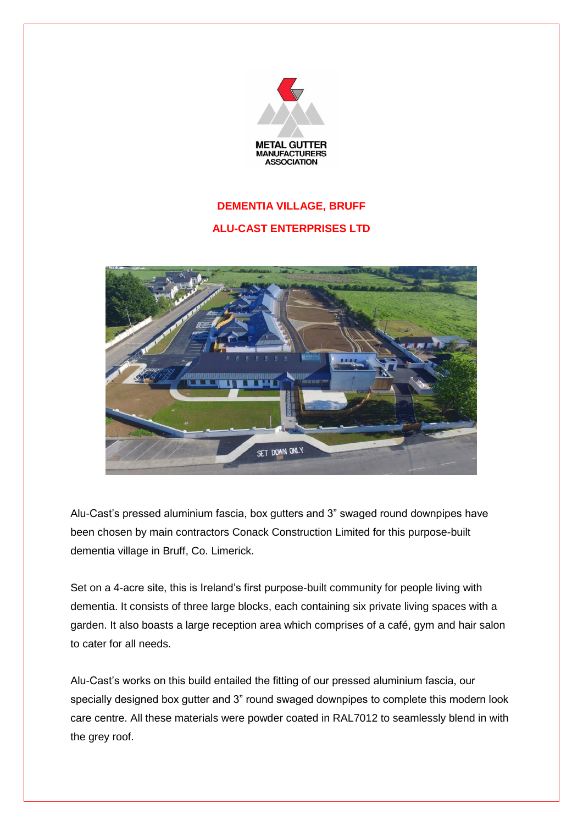

## **DEMENTIA VILLAGE, BRUFF ALU-CAST ENTERPRISES LTD**



Alu-Cast's pressed aluminium fascia, box gutters and 3" swaged round downpipes have been chosen by main contractors Conack Construction Limited for this purpose-built dementia village in Bruff, Co. Limerick.

Set on a 4-acre site, this is Ireland's first purpose-built community for people living with dementia. It consists of three large blocks, each containing six private living spaces with a garden. It also boasts a large reception area which comprises of a café, gym and hair salon to cater for all needs.

Alu-Cast's works on this build entailed the fitting of our pressed aluminium fascia, our specially designed box gutter and 3" round swaged downpipes to complete this modern look care centre. All these materials were powder coated in RAL7012 to seamlessly blend in with the grey roof.